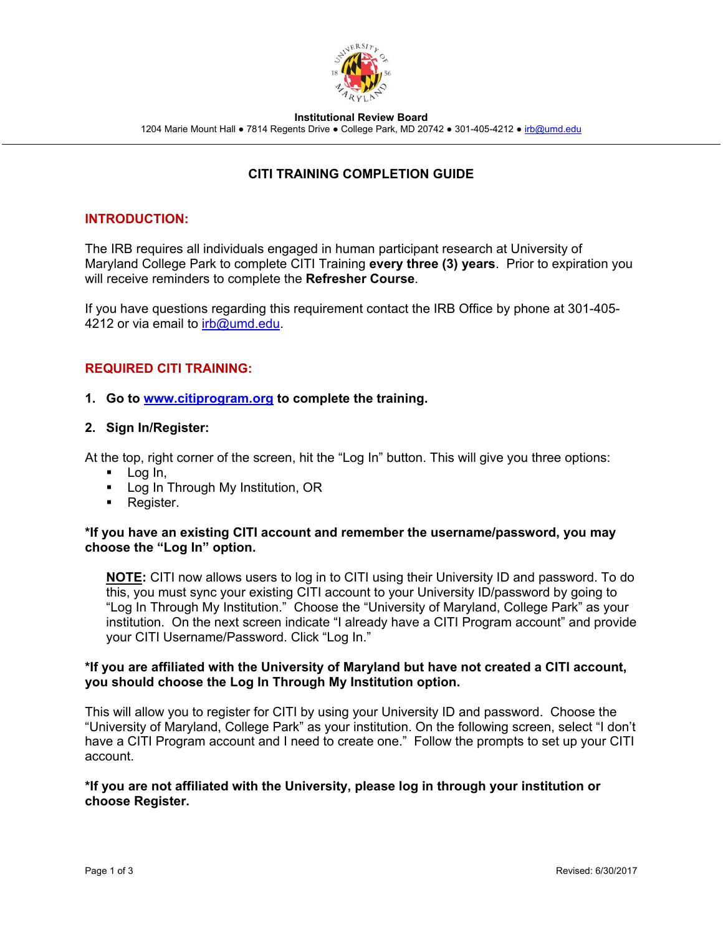

**Institutional Review Board** 

1204 Marie Mount Hall • 7814 Regents Drive • College Park, MD 20742 • 301-405-4212 • irb@umd.edu

# **CITI TRAINING COMPLETION GUIDE**

# **INTRODUCTION:**

The IRB requires all individuals engaged in human participant research at University of Maryland College Park to complete CITI Training **every three (3) years**. Prior to expiration you will receive reminders to complete the **Refresher Course**.

If you have questions regarding this requirement contact the IRB Office by phone at 301-405- 4212 or via email to *irb@umd.edu.* 

# **REQUIRED CITI TRAINING:**

### **1. Go to www.citiprogram.org to complete the training.**

### **2. Sign In/Register:**

At the top, right corner of the screen, hit the "Log In" button. This will give you three options:

- $\blacksquare$  Log In,
- **Log In Through My Institution, OR**
- **Register.**

#### **\*If you have an existing CITI account and remember the username/password, you may choose the "Log In" option.**

**NOTE:** CITI now allows users to log in to CITI using their University ID and password. To do this, you must sync your existing CITI account to your University ID/password by going to "Log In Through My Institution." Choose the "University of Maryland, College Park" as your institution. On the next screen indicate "I already have a CITI Program account" and provide your CITI Username/Password. Click "Log In."

### **\*If you are affiliated with the University of Maryland but have not created a CITI account, you should choose the Log In Through My Institution option.**

This will allow you to register for CITI by using your University ID and password. Choose the "University of Maryland, College Park" as your institution. On the following screen, select "I don't have a CITI Program account and I need to create one." Follow the prompts to set up your CITI account.

### **\*If you are not affiliated with the University, please log in through your institution or choose Register.**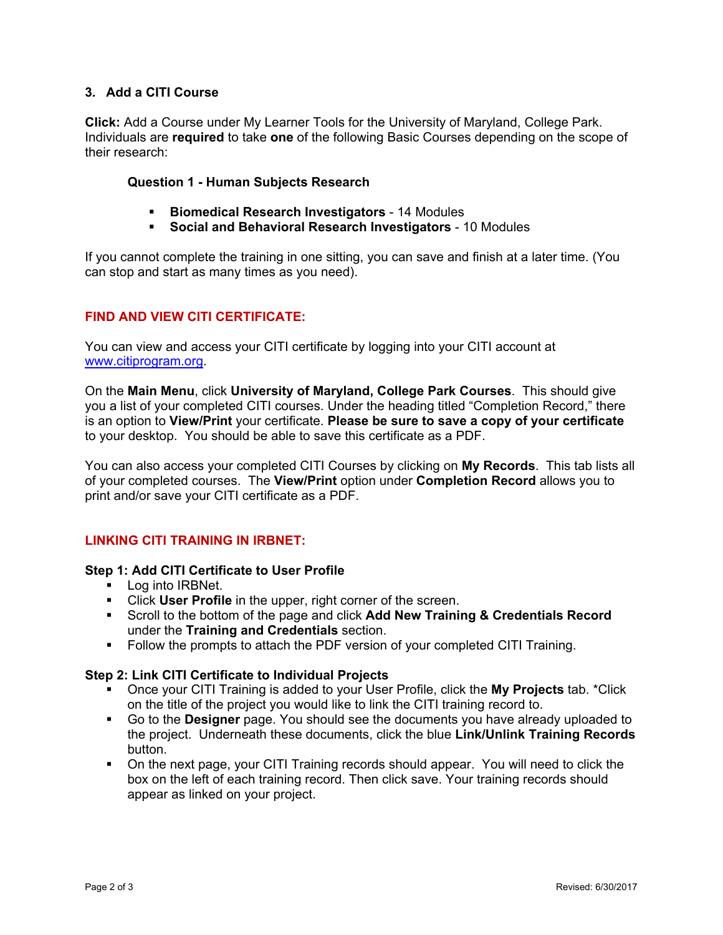# **3. Add a CITI Course**

**Click:** Add a Course under My Learner Tools for the University of Maryland, College Park. Individuals are **required** to take **one** of the following Basic Courses depending on the scope of their research:

### **Question 1 - Human Subjects Research**

- **Biomedical Research Investigators** 14 Modules
- **Social and Behavioral Research Investigators**  10 Modules

If you cannot complete the training in one sitting, you can save and finish at a later time. (You can stop and start as many times as you need).

# **FIND AND VIEW CITI CERTIFICATE:**

You can view and access your CITI certificate by logging into your CITI account at www.citiprogram.org.

On the **Main Menu**, click **University of Maryland, College Park Courses**. This should give you a list of your completed CITI courses. Under the heading titled "Completion Record," there is an option to **View/Print** your certificate. **Please be sure to save a copy of your certificate** to your desktop. You should be able to save this certificate as a PDF.

You can also access your completed CITI Courses by clicking on **My Records**. This tab lists all of your completed courses. The **View/Print** option under **Completion Record** allows you to print and/or save your CITI certificate as a PDF.

# **LINKING CITI TRAINING IN IRBNET:**

#### **Step 1: Add CITI Certificate to User Profile**

- **Log into IRBNet.**
- Click **User Profile** in the upper, right corner of the screen.
- Scroll to the bottom of the page and click **Add New Training & Credentials Record** under the **Training and Credentials** section.
- Follow the prompts to attach the PDF version of your completed CITI Training.

#### **Step 2: Link CITI Certificate to Individual Projects**

- Once your CITI Training is added to your User Profile, click the **My Projects** tab. \*Click on the title of the project you would like to link the CITI training record to.
- Go to the **Designer** page. You should see the documents you have already uploaded to the project. Underneath these documents, click the blue **Link/Unlink Training Records** button.
- On the next page, your CITI Training records should appear. You will need to click the box on the left of each training record. Then click save. Your training records should appear as linked on your project.